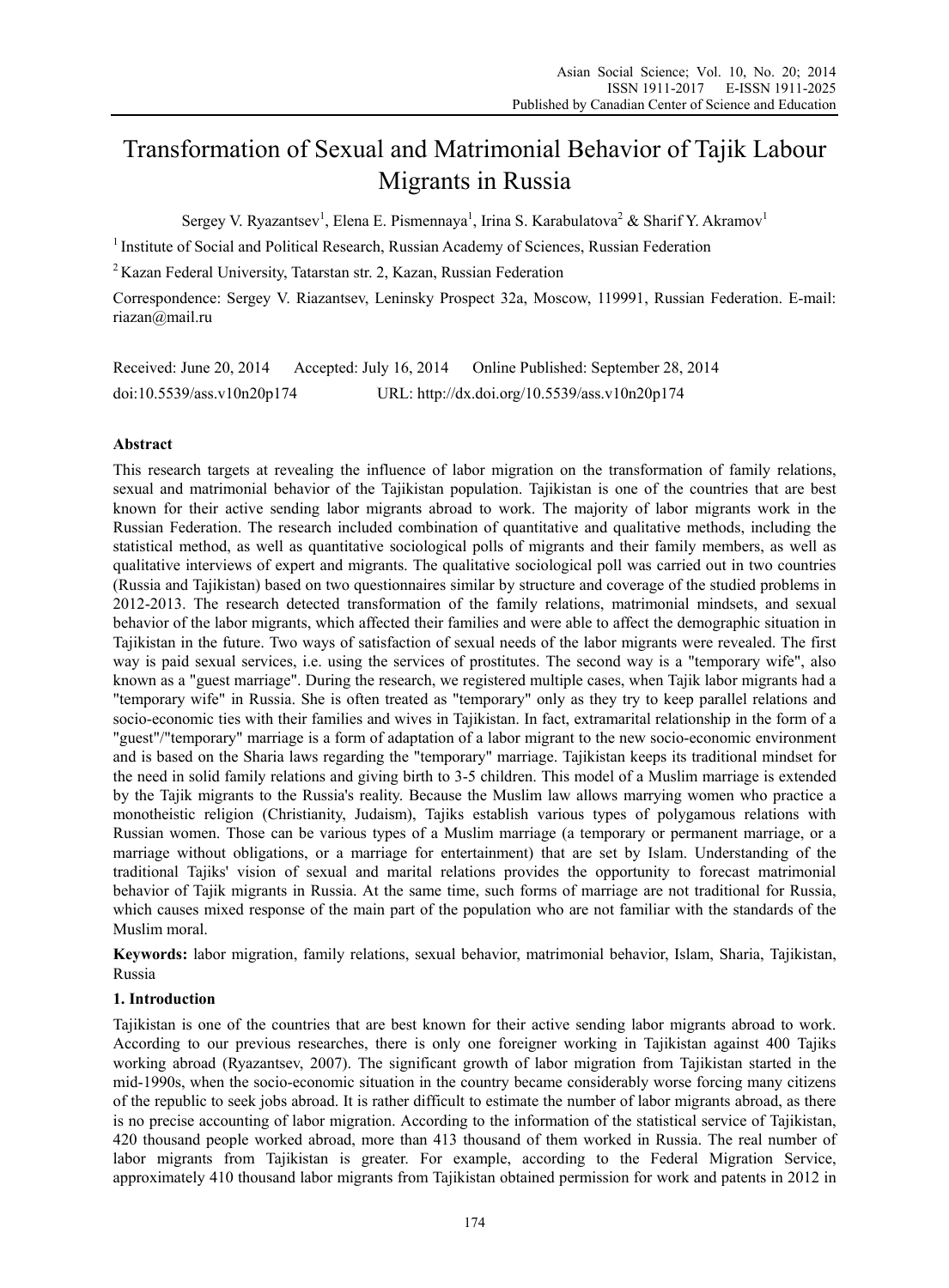# Transformation of Sexual and Matrimonial Behavior of Tajik Labour Migrants in Russia

Sergey V. Ryazantsev<sup>1</sup>, Elena E. Pismennaya<sup>1</sup>, Irina S. Karabulatova<sup>2</sup> & Sharif Y. Akramov<sup>1</sup>

<sup>1</sup> Institute of Social and Political Research, Russian Academy of Sciences, Russian Federation

2 Kazan Federal University, Tatarstan str. 2, Kazan, Russian Federation

Correspondence: Sergey V. Riazantsev, Leninsky Prospect 32a, Moscow, 119991, Russian Federation. E-mail: riazan@mail.ru

Received: June 20, 2014 Accepted: July 16, 2014 Online Published: September 28, 2014 doi:10.5539/ass.v10n20p174 URL: http://dx.doi.org/10.5539/ass.v10n20p174

# **Abstract**

This research targets at revealing the influence of labor migration on the transformation of family relations, sexual and matrimonial behavior of the Tajikistan population. Tajikistan is one of the countries that are best known for their active sending labor migrants abroad to work. The majority of labor migrants work in the Russian Federation. The research included combination of quantitative and qualitative methods, including the statistical method, as well as quantitative sociological polls of migrants and their family members, as well as qualitative interviews of expert and migrants. The qualitative sociological poll was carried out in two countries (Russia and Tajikistan) based on two questionnaires similar by structure and coverage of the studied problems in 2012-2013. The research detected transformation of the family relations, matrimonial mindsets, and sexual behavior of the labor migrants, which affected their families and were able to affect the demographic situation in Tajikistan in the future. Two ways of satisfaction of sexual needs of the labor migrants were revealed. The first way is paid sexual services, i.e. using the services of prostitutes. The second way is a "temporary wife", also known as a "guest marriage". During the research, we registered multiple cases, when Tajik labor migrants had a "temporary wife" in Russia. She is often treated as "temporary" only as they try to keep parallel relations and socio-economic ties with their families and wives in Tajikistan. In fact, extramarital relationship in the form of a "guest"/"temporary" marriage is a form of adaptation of a labor migrant to the new socio-economic environment and is based on the Sharia laws regarding the "temporary" marriage. Tajikistan keeps its traditional mindset for the need in solid family relations and giving birth to 3-5 children. This model of a Muslim marriage is extended by the Tajik migrants to the Russia's reality. Because the Muslim law allows marrying women who practice a monotheistic religion (Christianity, Judaism), Tajiks establish various types of polygamous relations with Russian women. Those can be various types of a Muslim marriage (a temporary or permanent marriage, or a marriage without obligations, or a marriage for entertainment) that are set by Islam. Understanding of the traditional Tajiks' vision of sexual and marital relations provides the opportunity to forecast matrimonial behavior of Tajik migrants in Russia. At the same time, such forms of marriage are not traditional for Russia, which causes mixed response of the main part of the population who are not familiar with the standards of the Muslim moral.

**Keywords:** labor migration, family relations, sexual behavior, matrimonial behavior, Islam, Sharia, Tajikistan, Russia

# **1. Introduction**

Tajikistan is one of the countries that are best known for their active sending labor migrants abroad to work. According to our previous researches, there is only one foreigner working in Tajikistan against 400 Tajiks working abroad (Ryazantsev, 2007). The significant growth of labor migration from Tajikistan started in the mid-1990s, when the socio-economic situation in the country became considerably worse forcing many citizens of the republic to seek jobs abroad. It is rather difficult to estimate the number of labor migrants abroad, as there is no precise accounting of labor migration. According to the information of the statistical service of Tajikistan, 420 thousand people worked abroad, more than 413 thousand of them worked in Russia. The real number of labor migrants from Tajikistan is greater. For example, according to the Federal Migration Service, approximately 410 thousand labor migrants from Tajikistan obtained permission for work and patents in 2012 in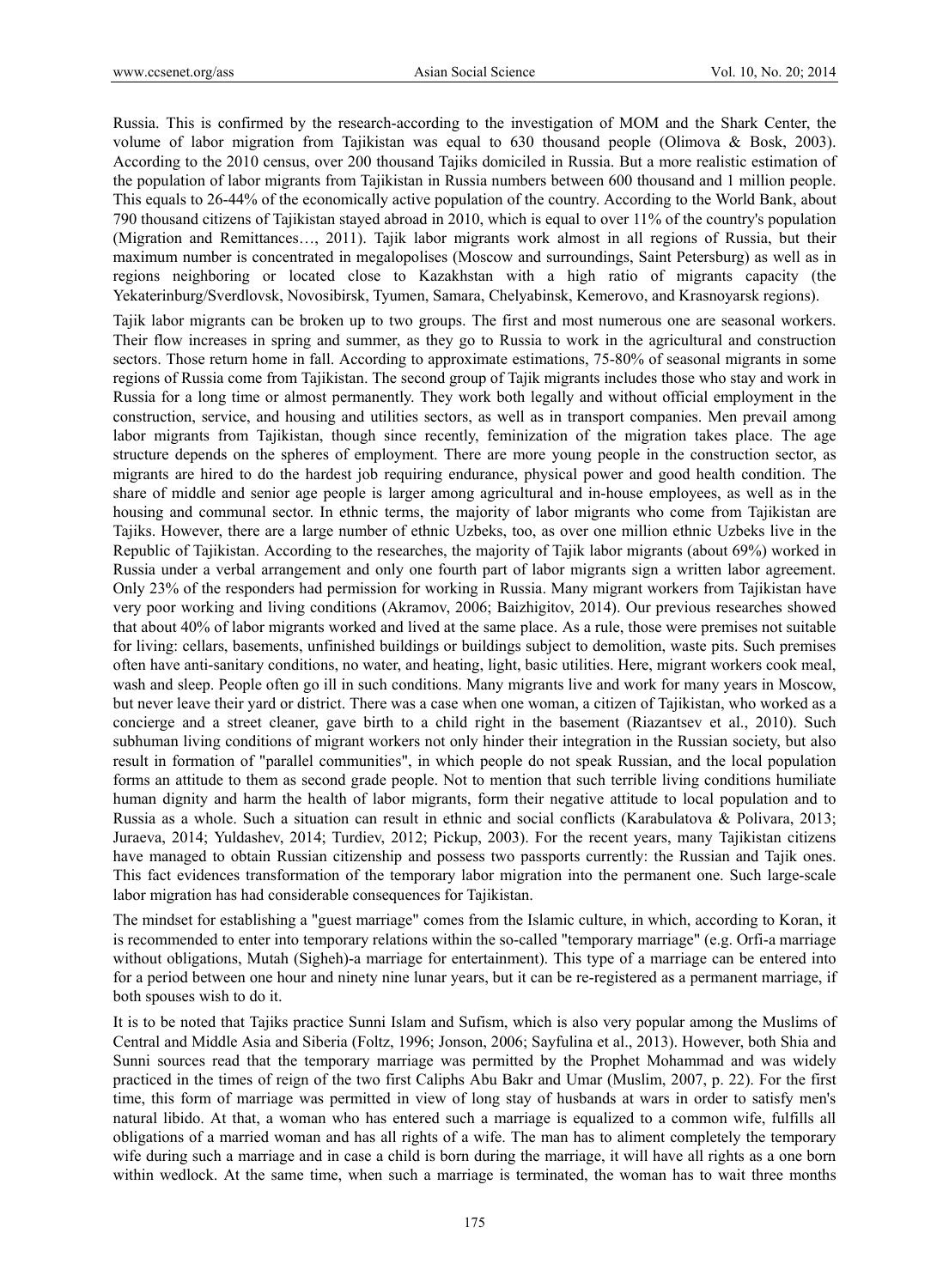Russia. This is confirmed by the research-according to the investigation of MOM and the Shark Center, the volume of labor migration from Tajikistan was equal to 630 thousand people (Olimova & Bosk, 2003). According to the 2010 census, over 200 thousand Tajiks domiciled in Russia. But a more realistic estimation of the population of labor migrants from Tajikistan in Russia numbers between 600 thousand and 1 million people. This equals to 26-44% of the economically active population of the country. According to the World Bank, about 790 thousand citizens of Tajikistan stayed abroad in 2010, which is equal to over 11% of the country's population (Migration and Remittances…, 2011). Tajik labor migrants work almost in all regions of Russia, but their maximum number is concentrated in megalopolises (Moscow and surroundings, Saint Petersburg) as well as in regions neighboring or located close to Kazakhstan with a high ratio of migrants capacity (the Yekaterinburg/Sverdlovsk, Novosibirsk, Tyumen, Samara, Chelyabinsk, Kemerovo, and Krasnoyarsk regions).

Tajik labor migrants can be broken up to two groups. The first and most numerous one are seasonal workers. Their flow increases in spring and summer, as they go to Russia to work in the agricultural and construction sectors. Those return home in fall. According to approximate estimations, 75-80% of seasonal migrants in some regions of Russia come from Tajikistan. The second group of Tajik migrants includes those who stay and work in Russia for a long time or almost permanently. They work both legally and without official employment in the construction, service, and housing and utilities sectors, as well as in transport companies. Men prevail among labor migrants from Tajikistan, though since recently, feminization of the migration takes place. The age structure depends on the spheres of employment. There are more young people in the construction sector, as migrants are hired to do the hardest job requiring endurance, physical power and good health condition. The share of middle and senior age people is larger among agricultural and in-house employees, as well as in the housing and communal sector. In ethnic terms, the majority of labor migrants who come from Tajikistan are Tajiks. However, there are a large number of ethnic Uzbeks, too, as over one million ethnic Uzbeks live in the Republic of Tajikistan. According to the researches, the majority of Tajik labor migrants (about 69%) worked in Russia under a verbal arrangement and only one fourth part of labor migrants sign a written labor agreement. Only 23% of the responders had permission for working in Russia. Many migrant workers from Tajikistan have very poor working and living conditions (Akramov, 2006; Baizhigitov, 2014). Our previous researches showed that about 40% of labor migrants worked and lived at the same place. As a rule, those were premises not suitable for living: cellars, basements, unfinished buildings or buildings subject to demolition, waste pits. Such premises often have anti-sanitary conditions, no water, and heating, light, basic utilities. Here, migrant workers cook meal, wash and sleep. People often go ill in such conditions. Many migrants live and work for many years in Moscow, but never leave their yard or district. There was a case when one woman, a citizen of Tajikistan, who worked as a concierge and a street cleaner, gave birth to a child right in the basement (Riazantsev et al., 2010). Such subhuman living conditions of migrant workers not only hinder their integration in the Russian society, but also result in formation of "parallel communities", in which people do not speak Russian, and the local population forms an attitude to them as second grade people. Not to mention that such terrible living conditions humiliate human dignity and harm the health of labor migrants, form their negative attitude to local population and to Russia as a whole. Such a situation can result in ethnic and social conflicts (Karabulatova & Polivara, 2013; Juraeva, 2014; Yuldashev, 2014; Turdiev, 2012; Pickup, 2003). For the recent years, many Tajikistan citizens have managed to obtain Russian citizenship and possess two passports currently: the Russian and Tajik ones. This fact evidences transformation of the temporary labor migration into the permanent one. Such large-scale labor migration has had considerable consequences for Tajikistan.

The mindset for establishing a "guest marriage" comes from the Islamic culture, in which, according to Koran, it is recommended to enter into temporary relations within the so-called "temporary marriage" (e.g. Orfi-a marriage without obligations, Mutah (Sigheh)-a marriage for entertainment). This type of a marriage can be entered into for a period between one hour and ninety nine lunar years, but it can be re-registered as a permanent marriage, if both spouses wish to do it.

It is to be noted that Tajiks practice Sunni Islam and Sufism, which is also very popular among the Muslims of Central and Middle Asia and Siberia (Foltz, 1996; Jonson, 2006; Sayfulina et al., 2013). However, both Shia and Sunni sources read that the temporary marriage was permitted by the Prophet Mohammad and was widely practiced in the times of reign of the two first Caliphs Abu Bakr and Umar (Muslim, 2007, p. 22). For the first time, this form of marriage was permitted in view of long stay of husbands at wars in order to satisfy men's natural libido. At that, a woman who has entered such a marriage is equalized to a common wife, fulfills all obligations of a married woman and has all rights of a wife. The man has to aliment completely the temporary wife during such a marriage and in case a child is born during the marriage, it will have all rights as a one born within wedlock. At the same time, when such a marriage is terminated, the woman has to wait three months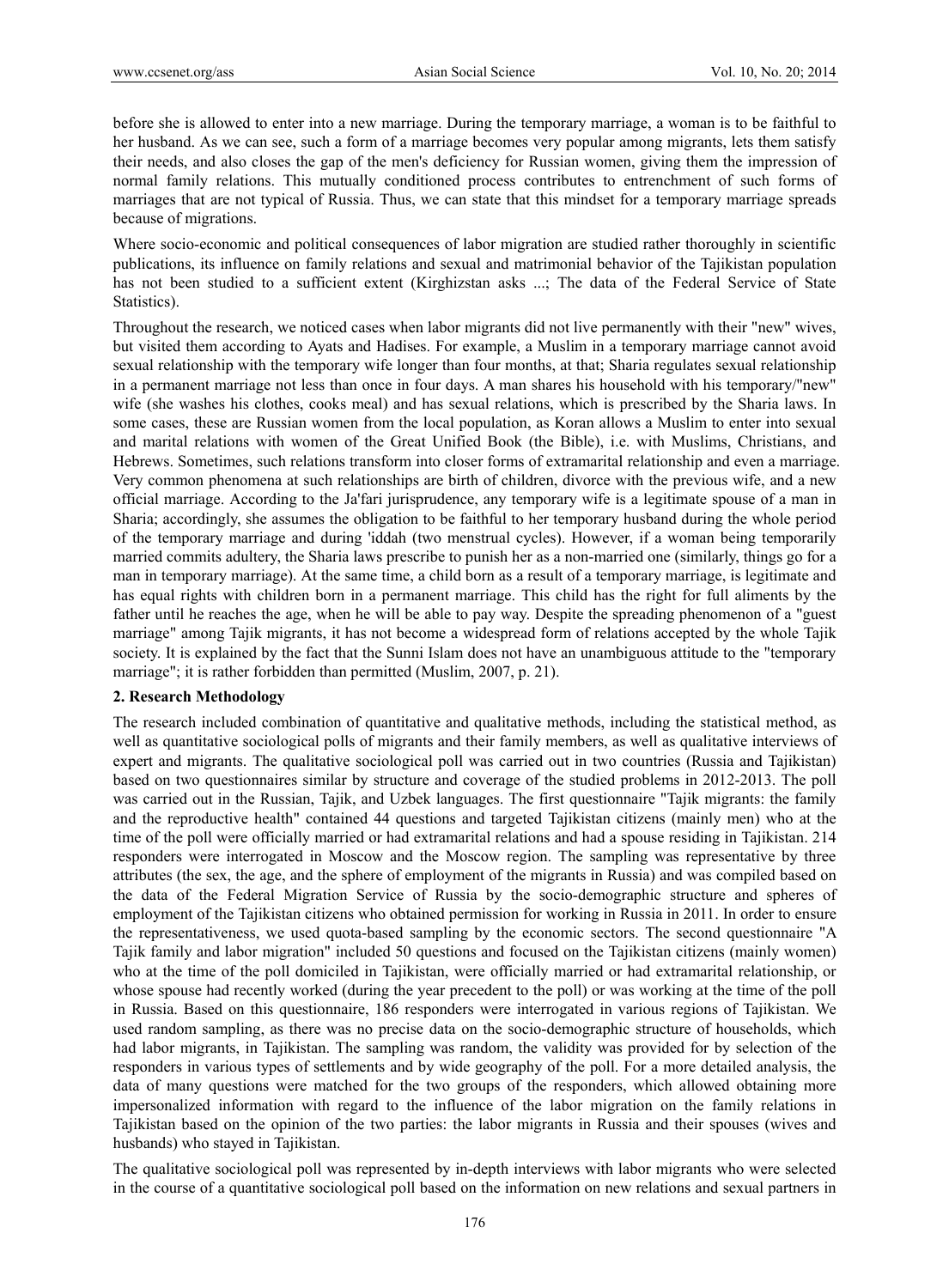before she is allowed to enter into a new marriage. During the temporary marriage, a woman is to be faithful to her husband. As we can see, such a form of a marriage becomes very popular among migrants, lets them satisfy their needs, and also closes the gap of the men's deficiency for Russian women, giving them the impression of normal family relations. This mutually conditioned process contributes to entrenchment of such forms of marriages that are not typical of Russia. Thus, we can state that this mindset for a temporary marriage spreads because of migrations.

Where socio-economic and political consequences of labor migration are studied rather thoroughly in scientific publications, its influence on family relations and sexual and matrimonial behavior of the Tajikistan population has not been studied to a sufficient extent (Kirghizstan asks ...; The data of the Federal Service of State Statistics).

Throughout the research, we noticed cases when labor migrants did not live permanently with their "new" wives, but visited them according to Ayats and Hadises. For example, a Muslim in a temporary marriage cannot avoid sexual relationship with the temporary wife longer than four months, at that; Sharia regulates sexual relationship in a permanent marriage not less than once in four days. A man shares his household with his temporary/"new" wife (she washes his clothes, cooks meal) and has sexual relations, which is prescribed by the Sharia laws. In some cases, these are Russian women from the local population, as Koran allows a Muslim to enter into sexual and marital relations with women of the Great Unified Book (the Bible), i.e. with Muslims, Christians, and Hebrews. Sometimes, such relations transform into closer forms of extramarital relationship and even a marriage. Very common phenomena at such relationships are birth of children, divorce with the previous wife, and a new official marriage. According to the Ja'fari jurisprudence, any temporary wife is a legitimate spouse of a man in Sharia; accordingly, she assumes the obligation to be faithful to her temporary husband during the whole period of the temporary marriage and during 'iddah (two menstrual cycles). However, if a woman being temporarily married commits adultery, the Sharia laws prescribe to punish her as a non-married one (similarly, things go for a man in temporary marriage). At the same time, a child born as a result of a temporary marriage, is legitimate and has equal rights with children born in a permanent marriage. This child has the right for full aliments by the father until he reaches the age, when he will be able to pay way. Despite the spreading phenomenon of a "guest marriage" among Tajik migrants, it has not become a widespread form of relations accepted by the whole Tajik society. It is explained by the fact that the Sunni Islam does not have an unambiguous attitude to the "temporary marriage"; it is rather forbidden than permitted (Muslim, 2007, p. 21).

## **2. Research Methodology**

The research included combination of quantitative and qualitative methods, including the statistical method, as well as quantitative sociological polls of migrants and their family members, as well as qualitative interviews of expert and migrants. The qualitative sociological poll was carried out in two countries (Russia and Tajikistan) based on two questionnaires similar by structure and coverage of the studied problems in 2012-2013. The poll was carried out in the Russian, Tajik, and Uzbek languages. The first questionnaire "Tajik migrants: the family and the reproductive health" contained 44 questions and targeted Tajikistan citizens (mainly men) who at the time of the poll were officially married or had extramarital relations and had a spouse residing in Tajikistan. 214 responders were interrogated in Moscow and the Moscow region. The sampling was representative by three attributes (the sex, the age, and the sphere of employment of the migrants in Russia) and was compiled based on the data of the Federal Migration Service of Russia by the socio-demographic structure and spheres of employment of the Tajikistan citizens who obtained permission for working in Russia in 2011. In order to ensure the representativeness, we used quota-based sampling by the economic sectors. The second questionnaire "A Tajik family and labor migration" included 50 questions and focused on the Tajikistan citizens (mainly women) who at the time of the poll domiciled in Tajikistan, were officially married or had extramarital relationship, or whose spouse had recently worked (during the year precedent to the poll) or was working at the time of the poll in Russia. Based on this questionnaire, 186 responders were interrogated in various regions of Tajikistan. We used random sampling, as there was no precise data on the socio-demographic structure of households, which had labor migrants, in Tajikistan. The sampling was random, the validity was provided for by selection of the responders in various types of settlements and by wide geography of the poll. For a more detailed analysis, the data of many questions were matched for the two groups of the responders, which allowed obtaining more impersonalized information with regard to the influence of the labor migration on the family relations in Tajikistan based on the opinion of the two parties: the labor migrants in Russia and their spouses (wives and husbands) who stayed in Tajikistan.

The qualitative sociological poll was represented by in-depth interviews with labor migrants who were selected in the course of a quantitative sociological poll based on the information on new relations and sexual partners in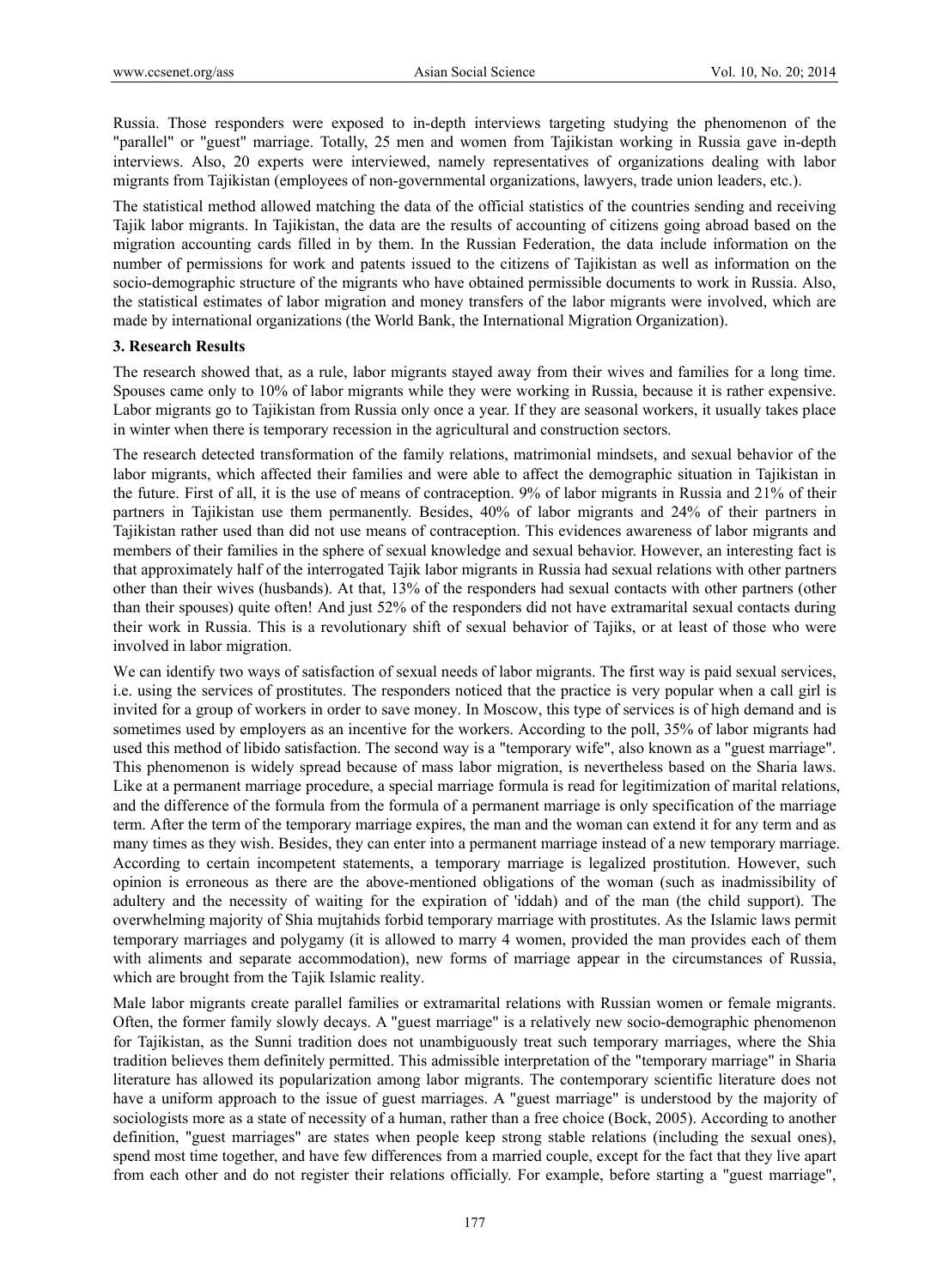Russia. Those responders were exposed to in-depth interviews targeting studying the phenomenon of the "parallel" or "guest" marriage. Totally, 25 men and women from Tajikistan working in Russia gave in-depth interviews. Also, 20 experts were interviewed, namely representatives of organizations dealing with labor migrants from Tajikistan (employees of non-governmental organizations, lawyers, trade union leaders, etc.).

The statistical method allowed matching the data of the official statistics of the countries sending and receiving Tajik labor migrants. In Tajikistan, the data are the results of accounting of citizens going abroad based on the migration accounting cards filled in by them. In the Russian Federation, the data include information on the number of permissions for work and patents issued to the citizens of Tajikistan as well as information on the socio-demographic structure of the migrants who have obtained permissible documents to work in Russia. Also, the statistical estimates of labor migration and money transfers of the labor migrants were involved, which are made by international organizations (the World Bank, the International Migration Organization).

#### **3. Research Results**

The research showed that, as a rule, labor migrants stayed away from their wives and families for a long time. Spouses came only to 10% of labor migrants while they were working in Russia, because it is rather expensive. Labor migrants go to Tajikistan from Russia only once a year. If they are seasonal workers, it usually takes place in winter when there is temporary recession in the agricultural and construction sectors.

The research detected transformation of the family relations, matrimonial mindsets, and sexual behavior of the labor migrants, which affected their families and were able to affect the demographic situation in Tajikistan in the future. First of all, it is the use of means of contraception. 9% of labor migrants in Russia and 21% of their partners in Tajikistan use them permanently. Besides, 40% of labor migrants and 24% of their partners in Tajikistan rather used than did not use means of contraception. This evidences awareness of labor migrants and members of their families in the sphere of sexual knowledge and sexual behavior. However, an interesting fact is that approximately half of the interrogated Tajik labor migrants in Russia had sexual relations with other partners other than their wives (husbands). At that, 13% of the responders had sexual contacts with other partners (other than their spouses) quite often! And just 52% of the responders did not have extramarital sexual contacts during their work in Russia. This is a revolutionary shift of sexual behavior of Tajiks, or at least of those who were involved in labor migration.

We can identify two ways of satisfaction of sexual needs of labor migrants. The first way is paid sexual services, i.e. using the services of prostitutes. The responders noticed that the practice is very popular when a call girl is invited for a group of workers in order to save money. In Moscow, this type of services is of high demand and is sometimes used by employers as an incentive for the workers. According to the poll, 35% of labor migrants had used this method of libido satisfaction. The second way is a "temporary wife", also known as a "guest marriage". This phenomenon is widely spread because of mass labor migration, is nevertheless based on the Sharia laws. Like at a permanent marriage procedure, a special marriage formula is read for legitimization of marital relations, and the difference of the formula from the formula of a permanent marriage is only specification of the marriage term. After the term of the temporary marriage expires, the man and the woman can extend it for any term and as many times as they wish. Besides, they can enter into a permanent marriage instead of a new temporary marriage. According to certain incompetent statements, a temporary marriage is legalized prostitution. However, such opinion is erroneous as there are the above-mentioned obligations of the woman (such as inadmissibility of adultery and the necessity of waiting for the expiration of 'iddah) and of the man (the child support). The overwhelming majority of Shia mujtahids forbid temporary marriage with prostitutes. As the Islamic laws permit temporary marriages and polygamy (it is allowed to marry 4 women, provided the man provides each of them with aliments and separate accommodation), new forms of marriage appear in the circumstances of Russia, which are brought from the Tajik Islamic reality.

Male labor migrants create parallel families or extramarital relations with Russian women or female migrants. Often, the former family slowly decays. A "guest marriage" is a relatively new socio-demographic phenomenon for Tajikistan, as the Sunni tradition does not unambiguously treat such temporary marriages, where the Shia tradition believes them definitely permitted. This admissible interpretation of the "temporary marriage" in Sharia literature has allowed its popularization among labor migrants. The contemporary scientific literature does not have a uniform approach to the issue of guest marriages. A "guest marriage" is understood by the majority of sociologists more as a state of necessity of a human, rather than a free choice (Bock, 2005). According to another definition, "guest marriages" are states when people keep strong stable relations (including the sexual ones), spend most time together, and have few differences from a married couple, except for the fact that they live apart from each other and do not register their relations officially. For example, before starting a "guest marriage",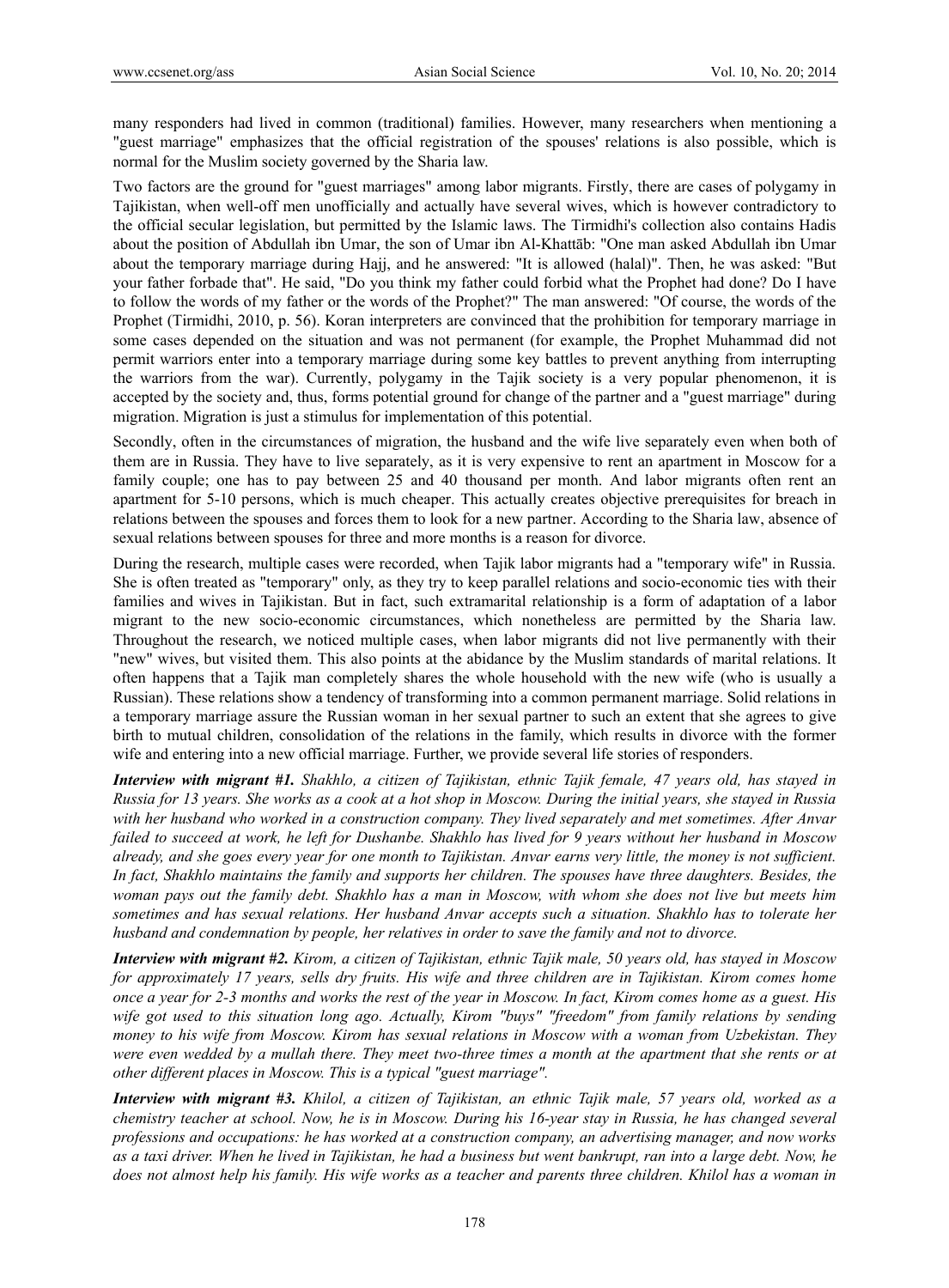many responders had lived in common (traditional) families. However, many researchers when mentioning a "guest marriage" emphasizes that the official registration of the spouses' relations is also possible, which is normal for the Muslim society governed by the Sharia law.

Two factors are the ground for "guest marriages" among labor migrants. Firstly, there are cases of polygamy in Tajikistan, when well-off men unofficially and actually have several wives, which is however contradictory to the official secular legislation, but permitted by the Islamic laws. The Tirmidhi's collection also contains Hadis about the position of Abdullah ibn Umar, the son of Umar ibn Al-Khattāb: "One man asked Abdullah ibn Umar about the temporary marriage during Hajj, and he answered: "It is allowed (halal)". Then, he was asked: "But your father forbade that". He said, "Do you think my father could forbid what the Prophet had done? Do I have to follow the words of my father or the words of the Prophet?" The man answered: "Of course, the words of the Prophet (Tirmidhi, 2010, p. 56). Koran interpreters are convinced that the prohibition for temporary marriage in some cases depended on the situation and was not permanent (for example, the Prophet Muhammad did not permit warriors enter into a temporary marriage during some key battles to prevent anything from interrupting the warriors from the war). Currently, polygamy in the Tajik society is a very popular phenomenon, it is accepted by the society and, thus, forms potential ground for change of the partner and a "guest marriage" during migration. Migration is just a stimulus for implementation of this potential.

Secondly, often in the circumstances of migration, the husband and the wife live separately even when both of them are in Russia. They have to live separately, as it is very expensive to rent an apartment in Moscow for a family couple; one has to pay between 25 and 40 thousand per month. And labor migrants often rent an apartment for 5-10 persons, which is much cheaper. This actually creates objective prerequisites for breach in relations between the spouses and forces them to look for a new partner. According to the Sharia law, absence of sexual relations between spouses for three and more months is a reason for divorce.

During the research, multiple cases were recorded, when Tajik labor migrants had a "temporary wife" in Russia. She is often treated as "temporary" only, as they try to keep parallel relations and socio-economic ties with their families and wives in Tajikistan. But in fact, such extramarital relationship is a form of adaptation of a labor migrant to the new socio-economic circumstances, which nonetheless are permitted by the Sharia law. Throughout the research, we noticed multiple cases, when labor migrants did not live permanently with their "new" wives, but visited them. This also points at the abidance by the Muslim standards of marital relations. It often happens that a Tajik man completely shares the whole household with the new wife (who is usually a Russian). These relations show a tendency of transforming into a common permanent marriage. Solid relations in a temporary marriage assure the Russian woman in her sexual partner to such an extent that she agrees to give birth to mutual children, consolidation of the relations in the family, which results in divorce with the former wife and entering into a new official marriage. Further, we provide several life stories of responders.

*Interview with migrant #1. Shakhlo, a citizen of Tajikistan, ethnic Tajik female, 47 years old, has stayed in Russia for 13 years. She works as a cook at a hot shop in Moscow. During the initial years, she stayed in Russia with her husband who worked in a construction company. They lived separately and met sometimes. After Anvar failed to succeed at work, he left for Dushanbe. Shakhlo has lived for 9 years without her husband in Moscow already, and she goes every year for one month to Tajikistan. Anvar earns very little, the money is not sufficient. In fact, Shakhlo maintains the family and supports her children. The spouses have three daughters. Besides, the woman pays out the family debt. Shakhlo has a man in Moscow, with whom she does not live but meets him sometimes and has sexual relations. Her husband Anvar accepts such a situation. Shakhlo has to tolerate her husband and condemnation by people, her relatives in order to save the family and not to divorce.* 

*Interview with migrant #2. Kirom, a citizen of Tajikistan, ethnic Tajik male, 50 years old, has stayed in Moscow for approximately 17 years, sells dry fruits. His wife and three children are in Tajikistan. Kirom comes home once a year for 2-3 months and works the rest of the year in Moscow. In fact, Kirom comes home as a guest. His wife got used to this situation long ago. Actually, Kirom "buys" "freedom" from family relations by sending money to his wife from Moscow. Kirom has sexual relations in Moscow with a woman from Uzbekistan. They were even wedded by a mullah there. They meet two-three times a month at the apartment that she rents or at other different places in Moscow. This is a typical "guest marriage".* 

*Interview with migrant #3. Khilol, a citizen of Tajikistan, an ethnic Tajik male, 57 years old, worked as a chemistry teacher at school. Now, he is in Moscow. During his 16-year stay in Russia, he has changed several professions and occupations: he has worked at a construction company, an advertising manager, and now works as a taxi driver. When he lived in Tajikistan, he had a business but went bankrupt, ran into a large debt. Now, he does not almost help his family. His wife works as a teacher and parents three children. Khilol has a woman in*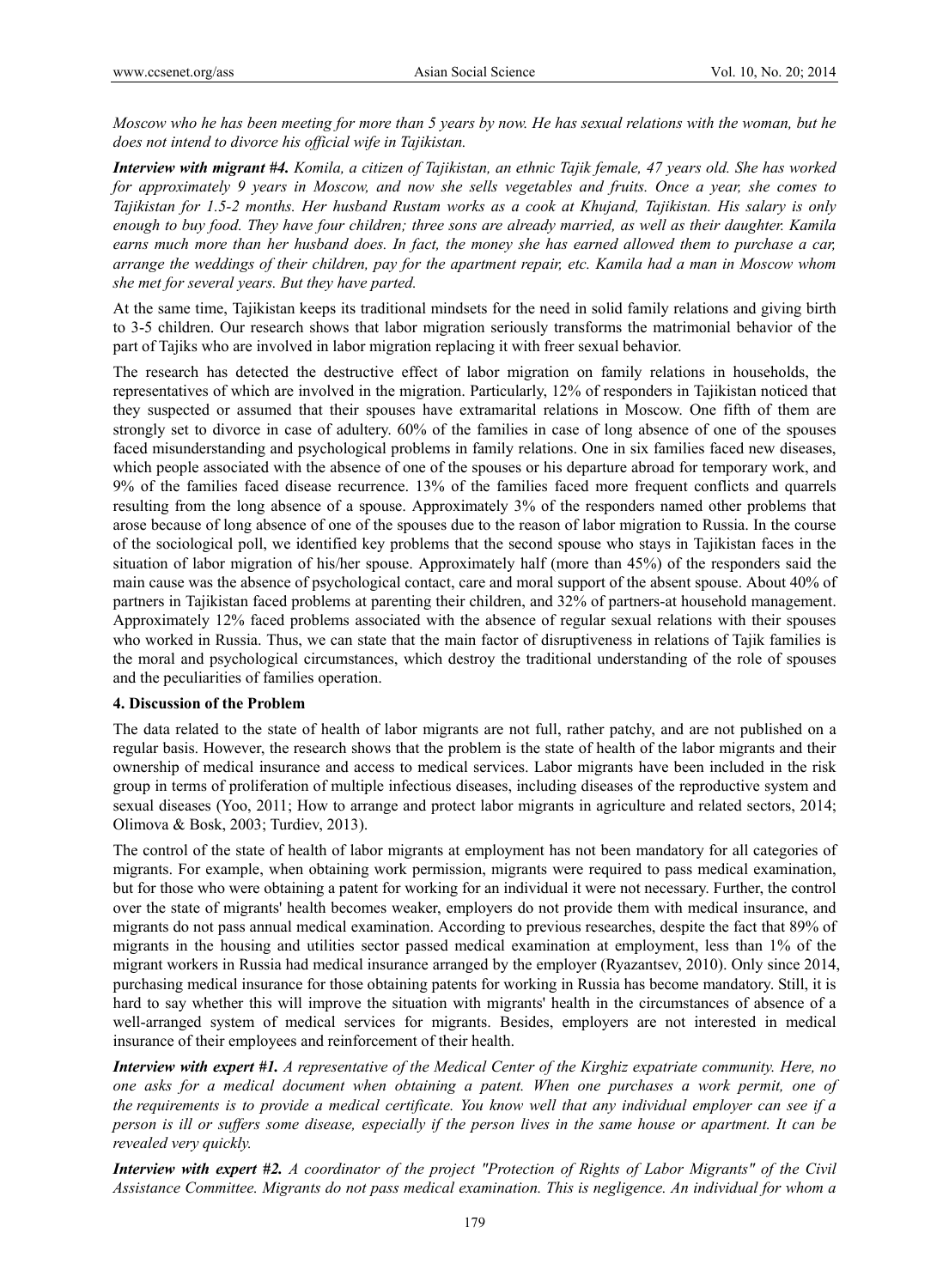*Moscow who he has been meeting for more than 5 years by now. He has sexual relations with the woman, but he does not intend to divorce his official wife in Tajikistan.* 

*Interview with migrant #4. Komila, a citizen of Tajikistan, an ethnic Tajik female, 47 years old. She has worked for approximately 9 years in Moscow, and now she sells vegetables and fruits. Once a year, she comes to Tajikistan for 1.5-2 months. Her husband Rustam works as a cook at Khujand, Tajikistan. His salary is only enough to buy food. They have four children; three sons are already married, as well as their daughter. Kamila earns much more than her husband does. In fact, the money she has earned allowed them to purchase a car, arrange the weddings of their children, pay for the apartment repair, etc. Kamila had a man in Moscow whom she met for several years. But they have parted.* 

At the same time, Tajikistan keeps its traditional mindsets for the need in solid family relations and giving birth to 3-5 children. Our research shows that labor migration seriously transforms the matrimonial behavior of the part of Tajiks who are involved in labor migration replacing it with freer sexual behavior.

The research has detected the destructive effect of labor migration on family relations in households, the representatives of which are involved in the migration. Particularly, 12% of responders in Tajikistan noticed that they suspected or assumed that their spouses have extramarital relations in Moscow. One fifth of them are strongly set to divorce in case of adultery. 60% of the families in case of long absence of one of the spouses faced misunderstanding and psychological problems in family relations. One in six families faced new diseases, which people associated with the absence of one of the spouses or his departure abroad for temporary work, and 9% of the families faced disease recurrence. 13% of the families faced more frequent conflicts and quarrels resulting from the long absence of a spouse. Approximately 3% of the responders named other problems that arose because of long absence of one of the spouses due to the reason of labor migration to Russia. In the course of the sociological poll, we identified key problems that the second spouse who stays in Tajikistan faces in the situation of labor migration of his/her spouse. Approximately half (more than 45%) of the responders said the main cause was the absence of psychological contact, care and moral support of the absent spouse. About 40% of partners in Tajikistan faced problems at parenting their children, and 32% of partners-at household management. Approximately 12% faced problems associated with the absence of regular sexual relations with their spouses who worked in Russia. Thus, we can state that the main factor of disruptiveness in relations of Tajik families is the moral and psychological circumstances, which destroy the traditional understanding of the role of spouses and the peculiarities of families operation.

## **4. Discussion of the Problem**

The data related to the state of health of labor migrants are not full, rather patchy, and are not published on a regular basis. However, the research shows that the problem is the state of health of the labor migrants and their ownership of medical insurance and access to medical services. Labor migrants have been included in the risk group in terms of proliferation of multiple infectious diseases, including diseases of the reproductive system and sexual diseases (Yoo, 2011; How to arrange and protect labor migrants in agriculture and related sectors, 2014; Olimova & Bosk, 2003; Turdiev, 2013).

The control of the state of health of labor migrants at employment has not been mandatory for all categories of migrants. For example, when obtaining work permission, migrants were required to pass medical examination, but for those who were obtaining a patent for working for an individual it were not necessary. Further, the control over the state of migrants' health becomes weaker, employers do not provide them with medical insurance, and migrants do not pass annual medical examination. According to previous researches, despite the fact that 89% of migrants in the housing and utilities sector passed medical examination at employment, less than 1% of the migrant workers in Russia had medical insurance arranged by the employer (Ryazantsev, 2010). Only since 2014, purchasing medical insurance for those obtaining patents for working in Russia has become mandatory. Still, it is hard to say whether this will improve the situation with migrants' health in the circumstances of absence of a well-arranged system of medical services for migrants. Besides, employers are not interested in medical insurance of their employees and reinforcement of their health.

*Interview with expert #1. A representative of the Medical Center of the Kirghiz expatriate community. Here, no one asks for a medical document when obtaining a patent. When one purchases a work permit, one of the requirements is to provide a medical certificate. You know well that any individual employer can see if a person is ill or suffers some disease, especially if the person lives in the same house or apartment. It can be revealed very quickly.* 

*Interview with expert #2. A coordinator of the project "Protection of Rights of Labor Migrants" of the Civil Assistance Committee. Migrants do not pass medical examination. This is negligence. An individual for whom a*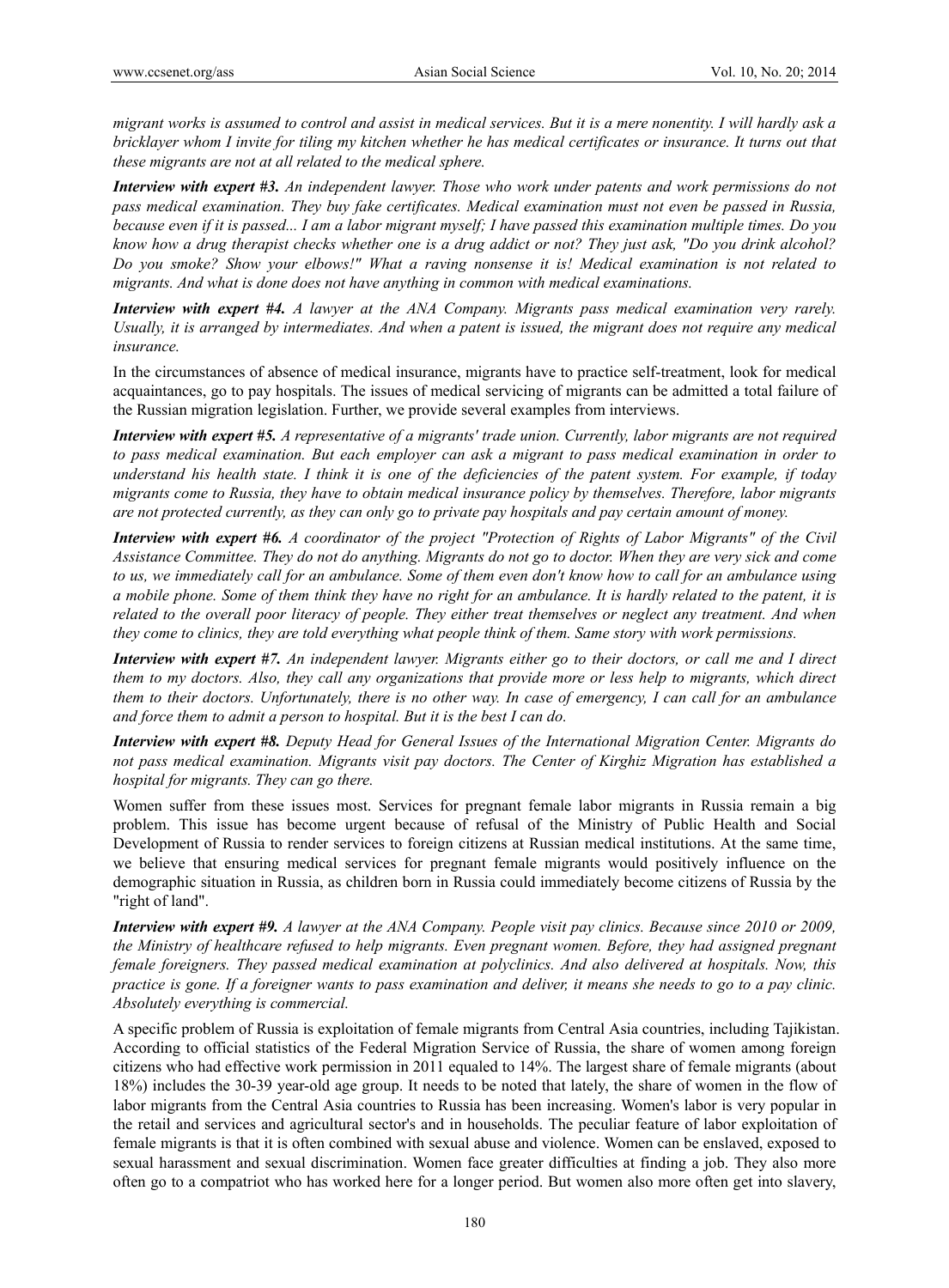*migrant works is assumed to control and assist in medical services. But it is a mere nonentity. I will hardly ask a bricklayer whom I invite for tiling my kitchen whether he has medical certificates or insurance. It turns out that these migrants are not at all related to the medical sphere.* 

*Interview with expert #3. An independent lawyer. Those who work under patents and work permissions do not pass medical examination. They buy fake certificates. Medical examination must not even be passed in Russia, because even if it is passed... I am a labor migrant myself; I have passed this examination multiple times. Do you know how a drug therapist checks whether one is a drug addict or not? They just ask, "Do you drink alcohol? Do you smoke? Show your elbows!" What a raving nonsense it is! Medical examination is not related to migrants. And what is done does not have anything in common with medical examinations.* 

*Interview with expert #4. A lawyer at the ANA Company. Migrants pass medical examination very rarely. Usually, it is arranged by intermediates. And when a patent is issued, the migrant does not require any medical insurance.* 

In the circumstances of absence of medical insurance, migrants have to practice self-treatment, look for medical acquaintances, go to pay hospitals. The issues of medical servicing of migrants can be admitted a total failure of the Russian migration legislation. Further, we provide several examples from interviews.

*Interview with expert #5. A representative of a migrants' trade union. Currently, labor migrants are not required to pass medical examination. But each employer can ask a migrant to pass medical examination in order to understand his health state. I think it is one of the deficiencies of the patent system. For example, if today migrants come to Russia, they have to obtain medical insurance policy by themselves. Therefore, labor migrants are not protected currently, as they can only go to private pay hospitals and pay certain amount of money.* 

*Interview with expert #6. A coordinator of the project "Protection of Rights of Labor Migrants" of the Civil Assistance Committee. They do not do anything. Migrants do not go to doctor. When they are very sick and come to us, we immediately call for an ambulance. Some of them even don't know how to call for an ambulance using a mobile phone. Some of them think they have no right for an ambulance. It is hardly related to the patent, it is related to the overall poor literacy of people. They either treat themselves or neglect any treatment. And when they come to clinics, they are told everything what people think of them. Same story with work permissions.* 

*Interview with expert #7. An independent lawyer. Migrants either go to their doctors, or call me and I direct them to my doctors. Also, they call any organizations that provide more or less help to migrants, which direct them to their doctors. Unfortunately, there is no other way. In case of emergency, I can call for an ambulance and force them to admit a person to hospital. But it is the best I can do.* 

*Interview with expert #8. Deputy Head for General Issues of the International Migration Center. Migrants do not pass medical examination. Migrants visit pay doctors. The Center of Kirghiz Migration has established a hospital for migrants. They can go there.* 

Women suffer from these issues most. Services for pregnant female labor migrants in Russia remain a big problem. This issue has become urgent because of refusal of the Ministry of Public Health and Social Development of Russia to render services to foreign citizens at Russian medical institutions. At the same time, we believe that ensuring medical services for pregnant female migrants would positively influence on the demographic situation in Russia, as children born in Russia could immediately become citizens of Russia by the "right of land".

*Interview with expert #9. A lawyer at the ANA Company. People visit pay clinics. Because since 2010 or 2009, the Ministry of healthcare refused to help migrants. Even pregnant women. Before, they had assigned pregnant female foreigners. They passed medical examination at polyclinics. And also delivered at hospitals. Now, this practice is gone. If a foreigner wants to pass examination and deliver, it means she needs to go to a pay clinic. Absolutely everything is commercial.* 

A specific problem of Russia is exploitation of female migrants from Central Asia countries, including Tajikistan. According to official statistics of the Federal Migration Service of Russia, the share of women among foreign citizens who had effective work permission in 2011 equaled to 14%. The largest share of female migrants (about 18%) includes the 30-39 year-old age group. It needs to be noted that lately, the share of women in the flow of labor migrants from the Central Asia countries to Russia has been increasing. Women's labor is very popular in the retail and services and agricultural sector's and in households. The peculiar feature of labor exploitation of female migrants is that it is often combined with sexual abuse and violence. Women can be enslaved, exposed to sexual harassment and sexual discrimination. Women face greater difficulties at finding a job. They also more often go to a compatriot who has worked here for a longer period. But women also more often get into slavery,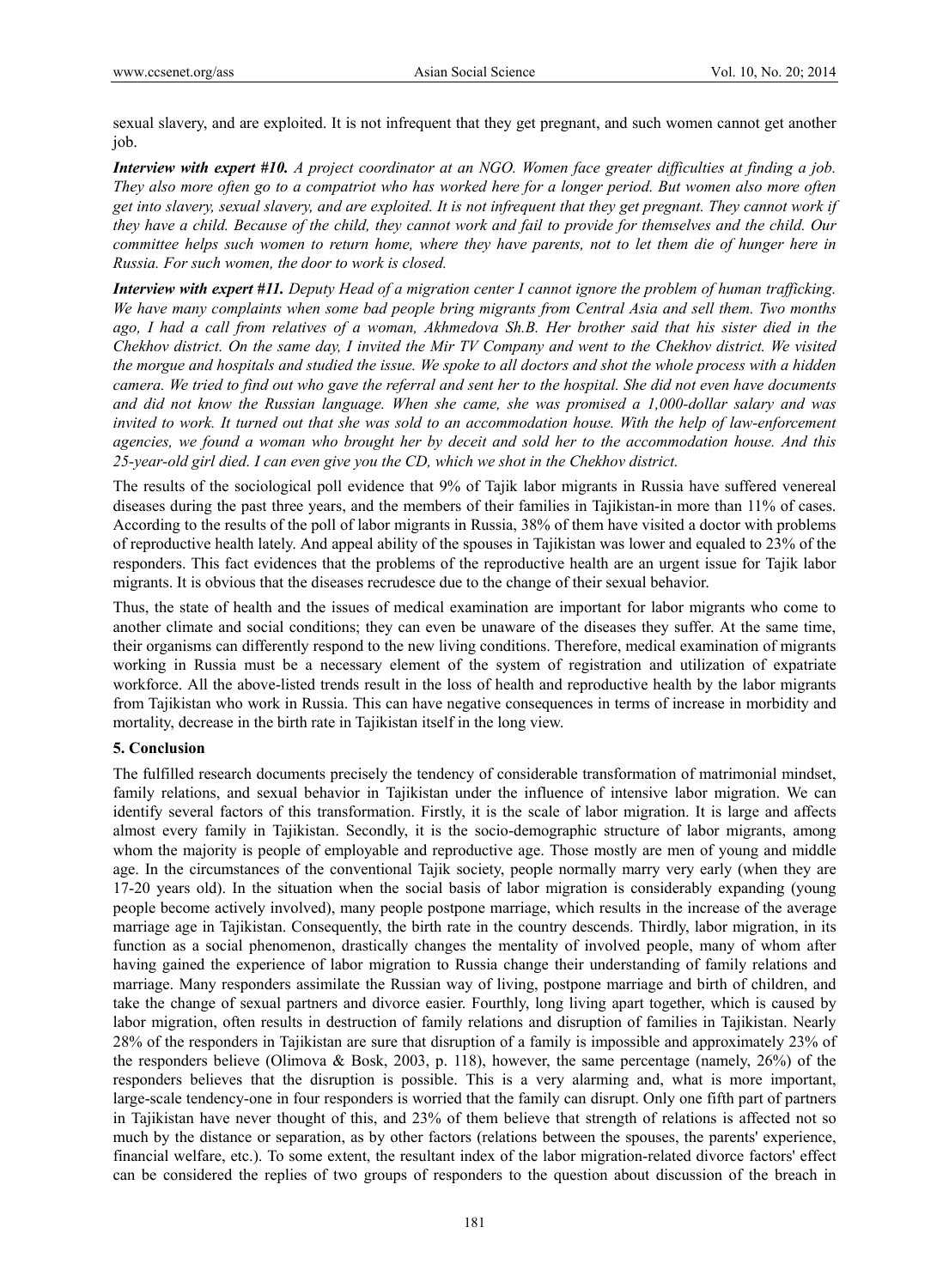sexual slavery, and are exploited. It is not infrequent that they get pregnant, and such women cannot get another job.

*Interview with expert #10. A project coordinator at an NGO. Women face greater difficulties at finding a job. They also more often go to a compatriot who has worked here for a longer period. But women also more often get into slavery, sexual slavery, and are exploited. It is not infrequent that they get pregnant. They cannot work if they have a child. Because of the child, they cannot work and fail to provide for themselves and the child. Our committee helps such women to return home, where they have parents, not to let them die of hunger here in Russia. For such women, the door to work is closed.* 

*Interview with expert #11. Deputy Head of a migration center I cannot ignore the problem of human trafficking. We have many complaints when some bad people bring migrants from Central Asia and sell them. Two months ago, I had a call from relatives of a woman, Akhmedova Sh.B. Her brother said that his sister died in the Chekhov district. On the same day, I invited the Mir TV Company and went to the Chekhov district. We visited the morgue and hospitals and studied the issue. We spoke to all doctors and shot the whole process with a hidden camera. We tried to find out who gave the referral and sent her to the hospital. She did not even have documents and did not know the Russian language. When she came, she was promised a 1,000-dollar salary and was invited to work. It turned out that she was sold to an accommodation house. With the help of law-enforcement agencies, we found a woman who brought her by deceit and sold her to the accommodation house. And this 25-year-old girl died. I can even give you the CD, which we shot in the Chekhov district.* 

The results of the sociological poll evidence that 9% of Tajik labor migrants in Russia have suffered venereal diseases during the past three years, and the members of their families in Tajikistan-in more than 11% of cases. According to the results of the poll of labor migrants in Russia, 38% of them have visited a doctor with problems of reproductive health lately. And appeal ability of the spouses in Tajikistan was lower and equaled to 23% of the responders. This fact evidences that the problems of the reproductive health are an urgent issue for Tajik labor migrants. It is obvious that the diseases recrudesce due to the change of their sexual behavior.

Thus, the state of health and the issues of medical examination are important for labor migrants who come to another climate and social conditions; they can even be unaware of the diseases they suffer. At the same time, their organisms can differently respond to the new living conditions. Therefore, medical examination of migrants working in Russia must be a necessary element of the system of registration and utilization of expatriate workforce. All the above-listed trends result in the loss of health and reproductive health by the labor migrants from Tajikistan who work in Russia. This can have negative consequences in terms of increase in morbidity and mortality, decrease in the birth rate in Tajikistan itself in the long view.

## **5. Conclusion**

The fulfilled research documents precisely the tendency of considerable transformation of matrimonial mindset, family relations, and sexual behavior in Tajikistan under the influence of intensive labor migration. We can identify several factors of this transformation. Firstly, it is the scale of labor migration. It is large and affects almost every family in Tajikistan. Secondly, it is the socio-demographic structure of labor migrants, among whom the majority is people of employable and reproductive age. Those mostly are men of young and middle age. In the circumstances of the conventional Tajik society, people normally marry very early (when they are 17-20 years old). In the situation when the social basis of labor migration is considerably expanding (young people become actively involved), many people postpone marriage, which results in the increase of the average marriage age in Tajikistan. Consequently, the birth rate in the country descends. Thirdly, labor migration, in its function as a social phenomenon, drastically changes the mentality of involved people, many of whom after having gained the experience of labor migration to Russia change their understanding of family relations and marriage. Many responders assimilate the Russian way of living, postpone marriage and birth of children, and take the change of sexual partners and divorce easier. Fourthly, long living apart together, which is caused by labor migration, often results in destruction of family relations and disruption of families in Tajikistan. Nearly 28% of the responders in Tajikistan are sure that disruption of a family is impossible and approximately 23% of the responders believe (Olimova & Bosk, 2003, p. 118), however, the same percentage (namely, 26%) of the responders believes that the disruption is possible. This is a very alarming and, what is more important, large-scale tendency-one in four responders is worried that the family can disrupt. Only one fifth part of partners in Tajikistan have never thought of this, and 23% of them believe that strength of relations is affected not so much by the distance or separation, as by other factors (relations between the spouses, the parents' experience, financial welfare, etc.). To some extent, the resultant index of the labor migration-related divorce factors' effect can be considered the replies of two groups of responders to the question about discussion of the breach in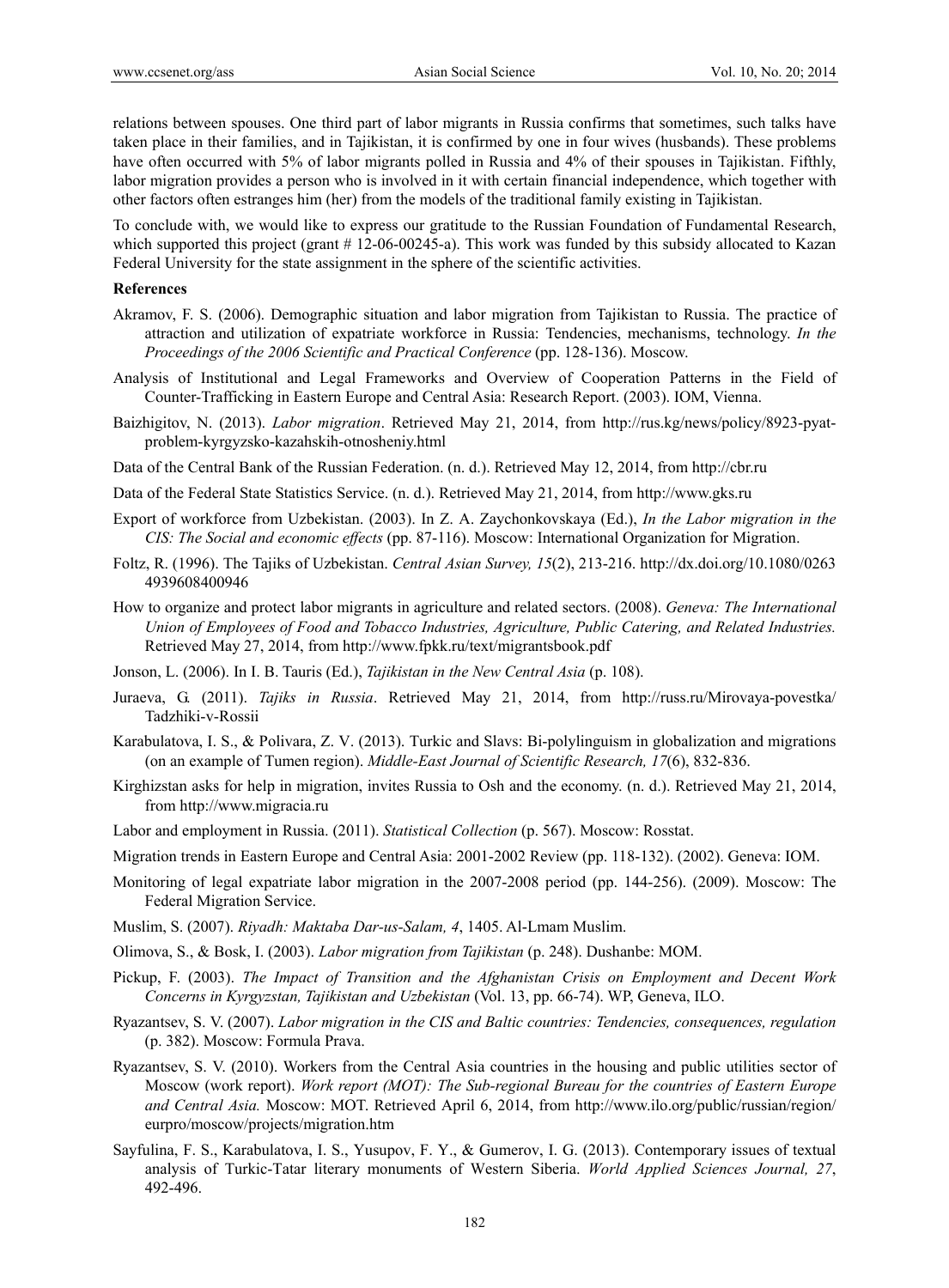relations between spouses. One third part of labor migrants in Russia confirms that sometimes, such talks have taken place in their families, and in Tajikistan, it is confirmed by one in four wives (husbands). These problems have often occurred with 5% of labor migrants polled in Russia and 4% of their spouses in Tajikistan. Fifthly, labor migration provides a person who is involved in it with certain financial independence, which together with other factors often estranges him (her) from the models of the traditional family existing in Tajikistan.

To conclude with, we would like to express our gratitude to the Russian Foundation of Fundamental Research, which supported this project (grant # 12-06-00245-a). This work was funded by this subsidy allocated to Kazan Federal University for the state assignment in the sphere of the scientific activities.

#### **References**

- Akramov, F. S. (2006). Demographic situation and labor migration from Tajikistan to Russia. The practice of attraction and utilization of expatriate workforce in Russia: Tendencies, mechanisms, technology. *In the Proceedings of the 2006 Scientific and Practical Conference* (pp. 128-136). Moscow.
- Analysis of Institutional and Legal Frameworks and Overview of Cooperation Patterns in the Field of Counter-Trafficking in Eastern Europe and Central Asia: Research Report. (2003). IOM, Vienna.
- Baizhigitov, N. (2013). *Labor migration*. Retrieved May 21, 2014, from http://rus.kg/news/policy/8923-pyatproblem-kyrgyzsko-kazahskih-otnosheniy.html
- Data of the Central Bank of the Russian Federation. (n. d.). Retrieved May 12, 2014, from http://cbr.ru

Data of the Federal State Statistics Service. (n. d.). Retrieved May 21, 2014, from http://www.gks.ru

- Export of workforce from Uzbekistan. (2003). In Z. A. Zaychonkovskaya (Ed.), *In the Labor migration in the CIS: The Social and economic effects* (pp. 87-116). Moscow: International Organization for Migration.
- Foltz, R. (1996). The Tajiks of Uzbekistan. *Central Asian Survey, 15*(2), 213-216. http://dx.doi.org/10.1080/0263 4939608400946
- How to organize and protect labor migrants in agriculture and related sectors. (2008). *Geneva: The International Union of Employees of Food and Tobacco Industries, Agriculture, Public Catering, and Related Industries.* Retrieved May 27, 2014, from http://www.fpkk.ru/text/migrantsbook.pdf
- Jonson, L. (2006). In I. B. Tauris (Ed.), *Tajikistan in the New Central Asia* (p. 108).
- Juraeva, G. (2011). *Tajiks in Russia*. Retrieved May 21, 2014, from http://russ.ru/Mirovaya-povestka/ Tadzhiki-v-Rossii
- Karabulatova, I. S., & Polivara, Z. V. (2013). Turkic and Slavs: Bi-polylinguism in globalization and migrations (on an example of Tumen region). *Middle-East Journal of Scientific Research, 17*(6), 832-836.
- Kirghizstan asks for help in migration, invites Russia to Osh and the economy. (n. d.). Retrieved May 21, 2014, from http://www.migracia.ru
- Labor and employment in Russia. (2011). *Statistical Collection* (p. 567). Moscow: Rosstat.
- Migration trends in Eastern Europe and Central Asia: 2001-2002 Review (pp. 118-132). (2002). Geneva: IOM.
- Monitoring of legal expatriate labor migration in the 2007-2008 period (pp. 144-256). (2009). Moscow: The Federal Migration Service.
- Muslim, S. (2007). *Riyadh: Maktaba Dar-us-Salam, 4*, 1405. Al-Lmam Muslim.
- Olimova, S., & Bosk, I. (2003). *Labor migration from Tajikistan* (p. 248). Dushanbe: MOM.
- Pickup, F. (2003). *The Impact of Transition and the Afghanistan Crisis on Employment and Decent Work Concerns in Kyrgyzstan, Tajikistan and Uzbekistan* (Vol. 13, pp. 66-74). WP, Geneva, ILO.
- Ryazantsev, S. V. (2007). *Labor migration in the CIS and Baltic countries: Tendencies, consequences, regulation*  (p. 382). Moscow: Formula Prava.
- Ryazantsev, S. V. (2010). Workers from the Central Asia countries in the housing and public utilities sector of Moscow (work report). *Work report (MOT): The Sub-regional Bureau for the countries of Eastern Europe and Central Asia.* Moscow: MOT. Retrieved April 6, 2014, from http://www.ilo.org/public/russian/region/ eurpro/moscow/projects/migration.htm
- Sayfulina, F. S., Karabulatova, I. S., Yusupov, F. Y., & Gumerov, I. G. (2013). Contemporary issues of textual analysis of Turkic-Tatar literary monuments of Western Siberia. *World Applied Sciences Journal, 27*, 492-496.